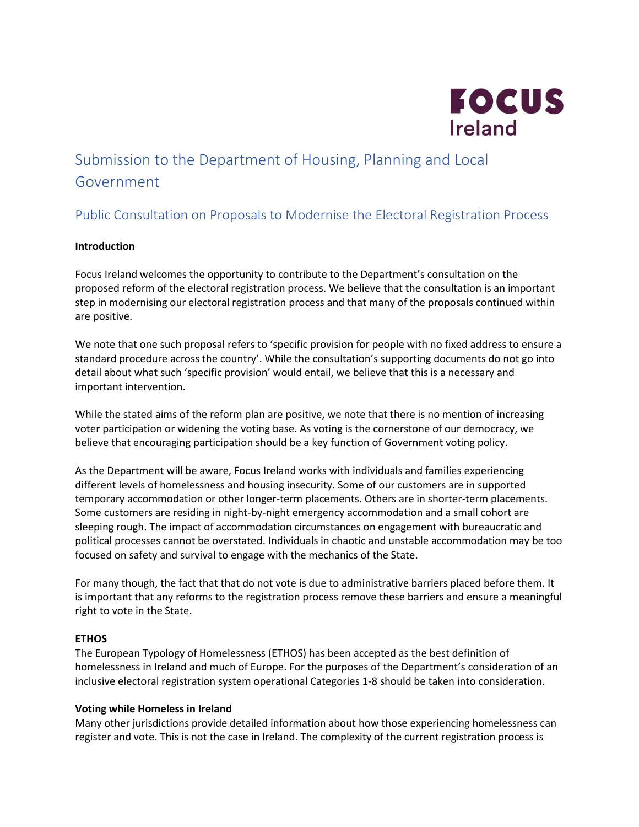

# Submission to the Department of Housing, Planning and Local Government

## Public Consultation on Proposals to Modernise the Electoral Registration Process

### **Introduction**

Focus Ireland welcomes the opportunity to contribute to the Department's consultation on the proposed reform of the electoral registration process. We believe that the consultation is an important step in modernising our electoral registration process and that many of the proposals continued within are positive.

We note that one such proposal refers to 'specific provision for people with no fixed address to ensure a standard procedure across the country'. While the consultation's supporting documents do not go into detail about what such 'specific provision' would entail, we believe that this is a necessary and important intervention.

While the stated aims of the reform plan are positive, we note that there is no mention of increasing voter participation or widening the voting base. As voting is the cornerstone of our democracy, we believe that encouraging participation should be a key function of Government voting policy.

As the Department will be aware, Focus Ireland works with individuals and families experiencing different levels of homelessness and housing insecurity. Some of our customers are in supported temporary accommodation or other longer-term placements. Others are in shorter-term placements. Some customers are residing in night-by-night emergency accommodation and a small cohort are sleeping rough. The impact of accommodation circumstances on engagement with bureaucratic and political processes cannot be overstated. Individuals in chaotic and unstable accommodation may be too focused on safety and survival to engage with the mechanics of the State.

For many though, the fact that that do not vote is due to administrative barriers placed before them. It is important that any reforms to the registration process remove these barriers and ensure a meaningful right to vote in the State.

### **ETHOS**

The European Typology of Homelessness (ETHOS) has been accepted as the best definition of homelessness in Ireland and much of Europe. For the purposes of the Department's consideration of an inclusive electoral registration system operational Categories 1-8 should be taken into consideration.

### **Voting while Homeless in Ireland**

Many other jurisdictions provide detailed information about how those experiencing homelessness can register and vote. This is not the case in Ireland. The complexity of the current registration process is